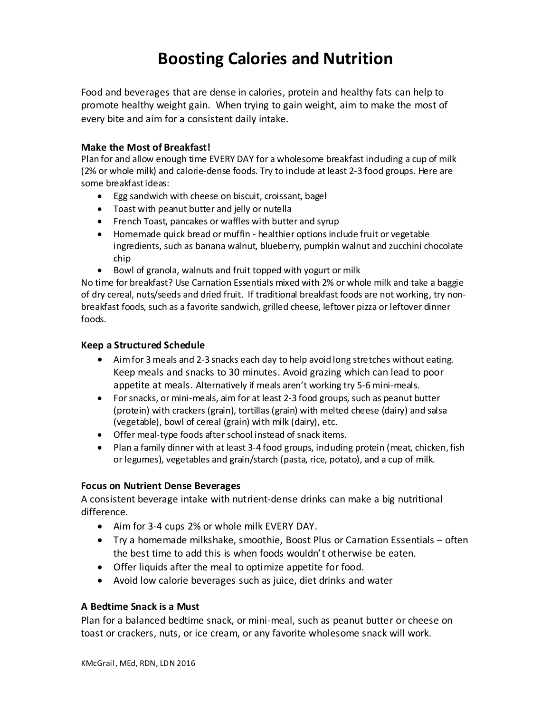# **Boosting Calories and Nutrition**

Food and beverages that are dense in calories, protein and healthy fats can help to promote healthy weight gain. When trying to gain weight, aim to make the most of every bite and aim for a consistent daily intake.

### **Make the Most of Breakfast!**

Plan for and allow enough time EVERY DAY for a wholesome breakfast induding a cup of milk (2% or whole milk) and calorie-dense foods. Try to indude at least 2-3 food groups. Here are some breakfast ideas:

- Egg sandwich with cheese on biscuit, croissant, bagel
- Toast with peanut butter and jelly or nutella
- French Toast, pancakes or waffles with butter and syrup
- Homemade quick bread or muffin healthier options include fruit or vegetable ingredients, such as banana walnut, blueberry, pumpkin walnut and zucchini chocolate chip
- Bowl of granola, walnuts and fruit topped with yogurt or milk

No time for breakfast? Use Carnation Essentials mixed with 2% or whole milk and take a baggie of dry cereal, nuts/seeds and dried fruit. If traditional breakfast foods are not working, try nonbreakfast foods, such as a favorite sandwich, grilled cheese, leftover pizza or leftover dinner foods.

#### **Keep a Structured Schedule**

- Aim for 3 meals and 2-3 snacks each day to help avoid long stretches without eating. Keep meals and snacks to 30 minutes. Avoid grazing which can lead to poor appetite at meals. Alternatively if meals aren't working try 5-6 mini-meals.
- For snacks, or mini-meals, aim for at least 2-3 food groups, such as peanut butter (protein) with crackers (grain), tortillas (grain) with melted cheese (dairy) and salsa (vegetable), bowl of cereal (grain) with milk (dairy), etc.
- Offer meal-type foods after school instead of snack items.
- Plan a family dinner with at least 3-4 food groups, induding protein (meat, chicken, fish or legumes), vegetables and grain/starch (pasta, rice, potato), and a cup of milk.

#### **Focus on Nutrient Dense Beverages**

A consistent beverage intake with nutrient-dense drinks can make a big nutritional difference.

- Aim for 3-4 cups 2% or whole milk EVERY DAY.
- Try a homemade milkshake, smoothie, Boost Plus or Carnation Essentials often the best time to add this is when foods wouldn't otherwise be eaten.
- Offer liquids after the meal to optimize appetite for food.
- Avoid low calorie beverages such as juice, diet drinks and water

#### **A Bedtime Snack is a Must**

Plan for a balanced bedtime snack, or mini-meal, such as peanut butter or cheese on toast or crackers, nuts, or ice cream, or any favorite wholesome snack will work.